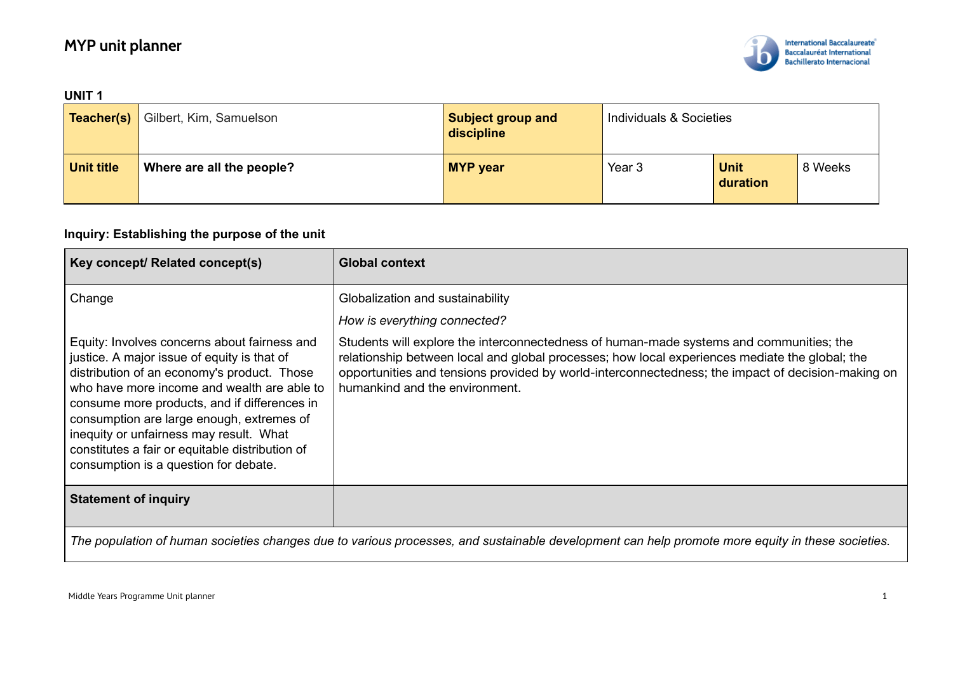# **MYP unit planner**



| <b>UNIT1</b>      |                                           |                                        |                         |                  |         |
|-------------------|-------------------------------------------|----------------------------------------|-------------------------|------------------|---------|
|                   | <b>Teacher(s)</b> Gilbert, Kim, Samuelson | <b>Subject group and</b><br>discipline | Individuals & Societies |                  |         |
| <b>Unit title</b> | Where are all the people?                 | <b>MYP</b> year                        | Year 3                  | Unit<br>duration | 8 Weeks |

### **Inquiry: Establishing the purpose of the unit**

| <b>Key concept/ Related concept(s)</b>                                                                                                                                                                                                                                                                                                                                                                                        | <b>Global context</b>                                                                                                                                                                                                                                                                                                            |  |
|-------------------------------------------------------------------------------------------------------------------------------------------------------------------------------------------------------------------------------------------------------------------------------------------------------------------------------------------------------------------------------------------------------------------------------|----------------------------------------------------------------------------------------------------------------------------------------------------------------------------------------------------------------------------------------------------------------------------------------------------------------------------------|--|
| Change                                                                                                                                                                                                                                                                                                                                                                                                                        | Globalization and sustainability<br>How is everything connected?                                                                                                                                                                                                                                                                 |  |
| Equity: Involves concerns about fairness and<br>justice. A major issue of equity is that of<br>distribution of an economy's product. Those<br>who have more income and wealth are able to<br>consume more products, and if differences in<br>consumption are large enough, extremes of<br>inequity or unfairness may result. What<br>constitutes a fair or equitable distribution of<br>consumption is a question for debate. | Students will explore the interconnectedness of human-made systems and communities; the<br>relationship between local and global processes; how local experiences mediate the global; the<br>opportunities and tensions provided by world-interconnectedness; the impact of decision-making on<br>humankind and the environment. |  |
| <b>Statement of inquiry</b>                                                                                                                                                                                                                                                                                                                                                                                                   |                                                                                                                                                                                                                                                                                                                                  |  |
| The population of human societies changes due to various processes, and sustainable development can help promote more equity in these societies.                                                                                                                                                                                                                                                                              |                                                                                                                                                                                                                                                                                                                                  |  |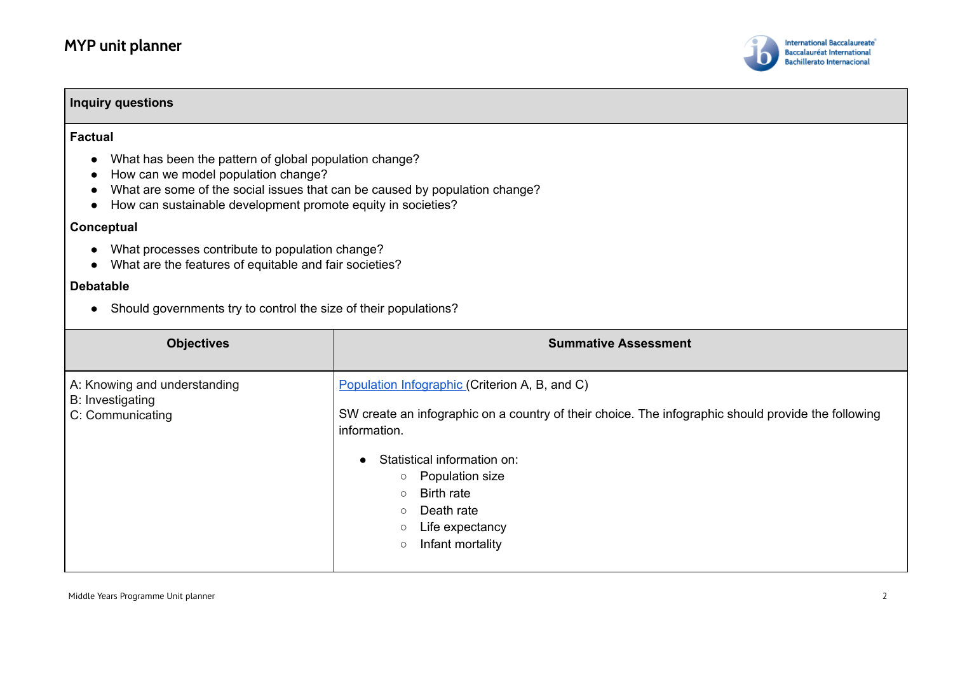

| <b>Inquiry questions</b>                                                                                                                                                                                                                                                                                                        |                             |  |  |
|---------------------------------------------------------------------------------------------------------------------------------------------------------------------------------------------------------------------------------------------------------------------------------------------------------------------------------|-----------------------------|--|--|
| <b>Factual</b><br>What has been the pattern of global population change?<br>How can we model population change?<br>What are some of the social issues that can be caused by population change?<br>How can sustainable development promote equity in societies?<br>Conceptual<br>What processes contribute to population change? |                             |  |  |
| What are the features of equitable and fair societies?                                                                                                                                                                                                                                                                          |                             |  |  |
| <b>Debatable</b>                                                                                                                                                                                                                                                                                                                |                             |  |  |
| Should governments try to control the size of their populations?                                                                                                                                                                                                                                                                |                             |  |  |
|                                                                                                                                                                                                                                                                                                                                 |                             |  |  |
| <b>Objectives</b>                                                                                                                                                                                                                                                                                                               | <b>Summative Assessment</b> |  |  |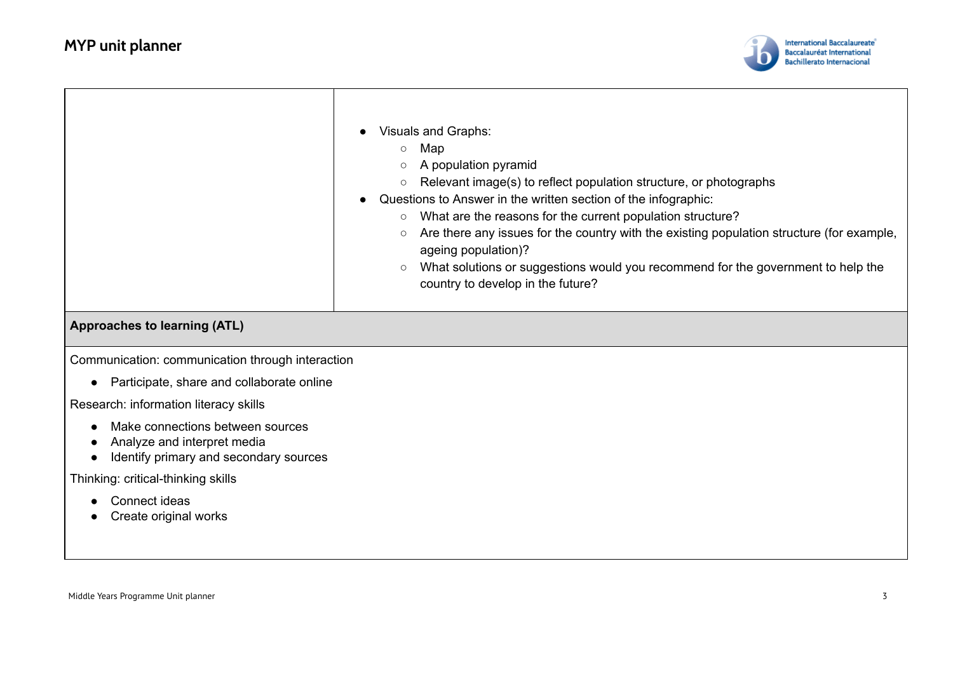

|                                                                                                           | Visuals and Graphs:<br>Map<br>$\circ$<br>A population pyramid<br>Relevant image(s) to reflect population structure, or photographs<br>$\circ$<br>Questions to Answer in the written section of the infographic:<br>What are the reasons for the current population structure?<br>$\circ$<br>Are there any issues for the country with the existing population structure (for example,<br>$\circ$<br>ageing population)?<br>What solutions or suggestions would you recommend for the government to help the<br>$\circ$<br>country to develop in the future? |
|-----------------------------------------------------------------------------------------------------------|-------------------------------------------------------------------------------------------------------------------------------------------------------------------------------------------------------------------------------------------------------------------------------------------------------------------------------------------------------------------------------------------------------------------------------------------------------------------------------------------------------------------------------------------------------------|
| <b>Approaches to learning (ATL)</b>                                                                       |                                                                                                                                                                                                                                                                                                                                                                                                                                                                                                                                                             |
| Communication: communication through interaction                                                          |                                                                                                                                                                                                                                                                                                                                                                                                                                                                                                                                                             |
| Participate, share and collaborate online<br>$\bullet$                                                    |                                                                                                                                                                                                                                                                                                                                                                                                                                                                                                                                                             |
| Research: information literacy skills                                                                     |                                                                                                                                                                                                                                                                                                                                                                                                                                                                                                                                                             |
| Make connections between sources<br>Analyze and interpret media<br>Identify primary and secondary sources |                                                                                                                                                                                                                                                                                                                                                                                                                                                                                                                                                             |
| Thinking: critical-thinking skills                                                                        |                                                                                                                                                                                                                                                                                                                                                                                                                                                                                                                                                             |
| Connect ideas<br>Create original works                                                                    |                                                                                                                                                                                                                                                                                                                                                                                                                                                                                                                                                             |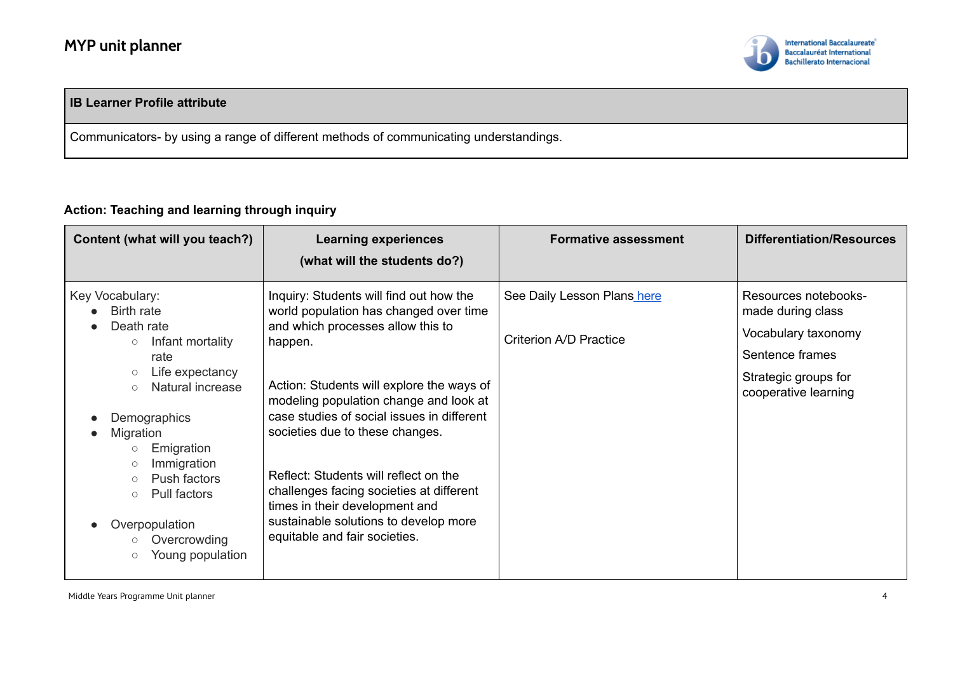

#### **IB Learner Profile attribute**

Communicators- by using a range of different methods of communicating understandings.

#### **Action: Teaching and learning through inquiry**

| Content (what will you teach?)                                                                                                                                                                                                                                                                                                                                      | <b>Learning experiences</b><br>(what will the students do?)                                                                                                                                                                                                                                                                                                                                                                                                                                                | <b>Formative assessment</b>                           | <b>Differentiation/Resources</b>                                                                                                    |
|---------------------------------------------------------------------------------------------------------------------------------------------------------------------------------------------------------------------------------------------------------------------------------------------------------------------------------------------------------------------|------------------------------------------------------------------------------------------------------------------------------------------------------------------------------------------------------------------------------------------------------------------------------------------------------------------------------------------------------------------------------------------------------------------------------------------------------------------------------------------------------------|-------------------------------------------------------|-------------------------------------------------------------------------------------------------------------------------------------|
| Key Vocabulary:<br><b>Birth rate</b><br>Death rate<br>Infant mortality<br>$\bigcirc$<br>rate<br>Life expectancy<br>$\bigcirc$<br>Natural increase<br>$\circ$<br>Demographics<br>Migration<br>Emigration<br>$\circ$<br>Immigration<br>$\circ$<br>Push factors<br>$\circ$<br>Pull factors<br>$\circ$<br>Overpopulation<br>Overcrowding<br>Young population<br>$\circ$ | Inquiry: Students will find out how the<br>world population has changed over time<br>and which processes allow this to<br>happen.<br>Action: Students will explore the ways of<br>modeling population change and look at<br>case studies of social issues in different<br>societies due to these changes.<br>Reflect: Students will reflect on the<br>challenges facing societies at different<br>times in their development and<br>sustainable solutions to develop more<br>equitable and fair societies. | See Daily Lesson Plans here<br>Criterion A/D Practice | Resources notebooks-<br>made during class<br>Vocabulary taxonomy<br>Sentence frames<br>Strategic groups for<br>cooperative learning |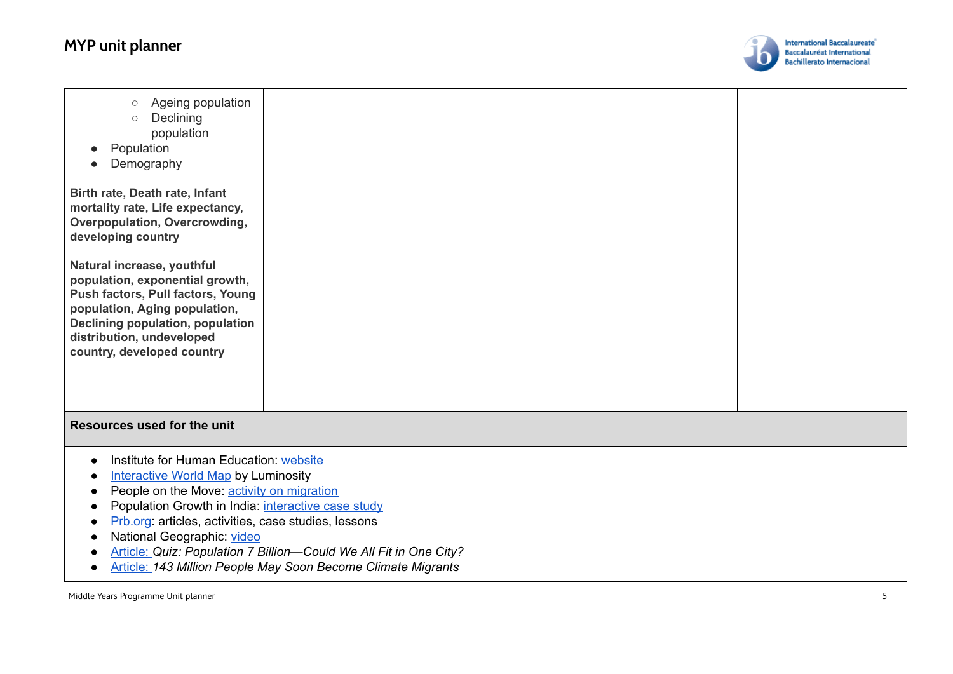## **MYP** unit planner



| Ageing population<br>$\bigcirc$<br>Declining<br>$\circ$<br>population<br>Population<br>Demography<br>Birth rate, Death rate, Infant<br>mortality rate, Life expectancy,<br>Overpopulation, Overcrowding,<br>developing country<br>Natural increase, youthful<br>population, exponential growth,<br>Push factors, Pull factors, Young<br>population, Aging population,<br>Declining population, population<br>distribution, undeveloped<br>country, developed country |  |  |  |  |
|----------------------------------------------------------------------------------------------------------------------------------------------------------------------------------------------------------------------------------------------------------------------------------------------------------------------------------------------------------------------------------------------------------------------------------------------------------------------|--|--|--|--|
| Resources used for the unit                                                                                                                                                                                                                                                                                                                                                                                                                                          |  |  |  |  |
| Institute for Human Education: website<br><b>Interactive World Map by Luminosity</b><br>People on the Move: activity on migration<br>Population Growth in India: interactive case study<br>Prb.org: articles, activities, case studies, lessons<br>National Geographic: video<br>Article: Quiz: Population 7 Billion-Could We All Fit in One City?<br>Article: 143 Million People May Soon Become Climate Migrants                                                   |  |  |  |  |